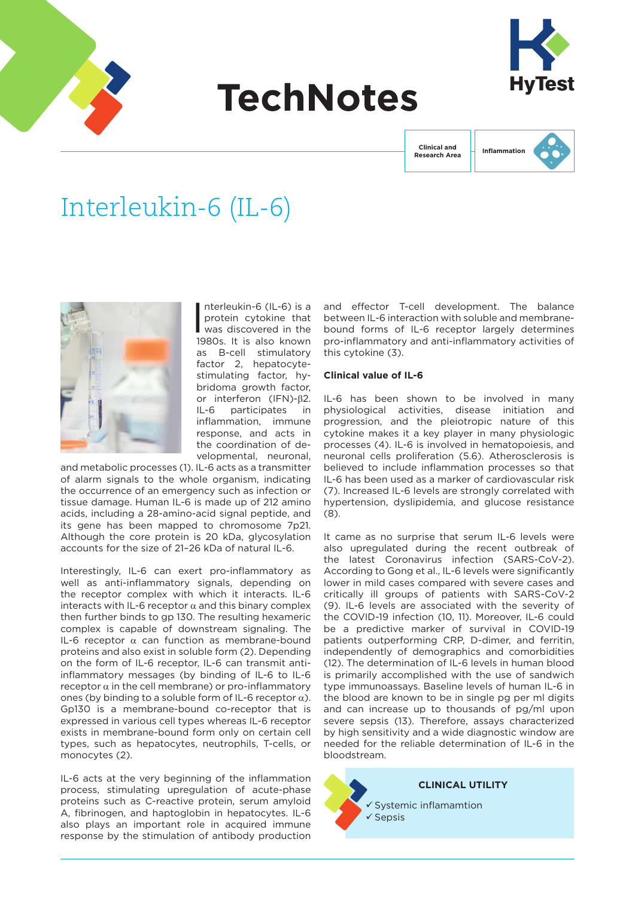

# **TechNotes**



**Clinical and Research Area** **Inflammation**

# Interleukin-6 (IL-6)



 $\overline{\phantom{a}}$ nterleukin-6 (IL-6) is a protein cytokine that was discovered in the 1980s. It is also known as B-cell stimulatory factor 2, hepatocytestimulating factor, hybridoma growth factor, or interferon (IFN)-β2. IL-6 participates in inflammation, immune response, and acts in the coordination of developmental, neuronal,

and metabolic processes (1). IL-6 acts as a transmitter of alarm signals to the whole organism, indicating the occurrence of an emergency such as infection or tissue damage. Human IL-6 is made up of 212 amino acids, including a 28-amino-acid signal peptide, and its gene has been mapped to chromosome 7p21. Although the core protein is 20 kDa, glycosylation accounts for the size of 21–26 kDa of natural IL-6.

Interestingly, IL-6 can exert pro-inflammatory as well as anti-inflammatory signals, depending on the receptor complex with which it interacts. IL-6 interacts with IL-6 receptor  $\alpha$  and this binary complex then further binds to gp 130. The resulting hexameric complex is capable of downstream signaling. The IL-6 receptor α can function as membrane-bound proteins and also exist in soluble form (2). Depending on the form of IL-6 receptor, IL-6 can transmit antiinflammatory messages (by binding of IL-6 to IL-6 receptor  $\alpha$  in the cell membrane) or pro-inflammatory ones (by binding to a soluble form of IL-6 receptor  $\alpha$ ). Gp130 is a membrane-bound co-receptor that is expressed in various cell types whereas IL-6 receptor exists in membrane-bound form only on certain cell types, such as hepatocytes, neutrophils, T-cells, or monocytes (2).

IL-6 acts at the very beginning of the inflammation process, stimulating upregulation of acute-phase proteins such as C-reactive protein, serum amyloid A, fibrinogen, and haptoglobin in hepatocytes. IL-6 also plays an important role in acquired immune response by the stimulation of antibody production

and effector T-cell development. The balance between IL-6 interaction with soluble and membranebound forms of IL-6 receptor largely determines pro-inflammatory and anti-inflammatory activities of this cytokine (3).

# **Clinical value of IL-6**

IL-6 has been shown to be involved in many physiological activities, disease initiation and progression, and the pleiotropic nature of this cytokine makes it a key player in many physiologic processes (4). IL-6 is involved in hematopoiesis, and neuronal cells proliferation (5.6). Atherosclerosis is believed to include inflammation processes so that IL-6 has been used as a marker of cardiovascular risk (7). Increased IL-6 levels are strongly correlated with hypertension, dyslipidemia, and glucose resistance (8).

It came as no surprise that serum IL-6 levels were also upregulated during the recent outbreak of the latest Coronavirus infection (SARS-CoV-2). According to Gong et al., IL-6 levels were significantly lower in mild cases compared with severe cases and critically ill groups of patients with SARS-CoV-2 (9). IL-6 levels are associated with the severity of the COVID-19 infection (10, 11). Moreover, IL-6 could be a predictive marker of survival in COVID-19 patients outperforming CRP, D-dimer, and ferritin, independently of demographics and comorbidities (12). The determination of IL-6 levels in human blood is primarily accomplished with the use of sandwich type immunoassays. Baseline levels of human IL-6 in the blood are known to be in single pg per ml digits and can increase up to thousands of pg/ml upon severe sepsis (13). Therefore, assays characterized by high sensitivity and a wide diagnostic window are needed for the reliable determination of IL-6 in the bloodstream.

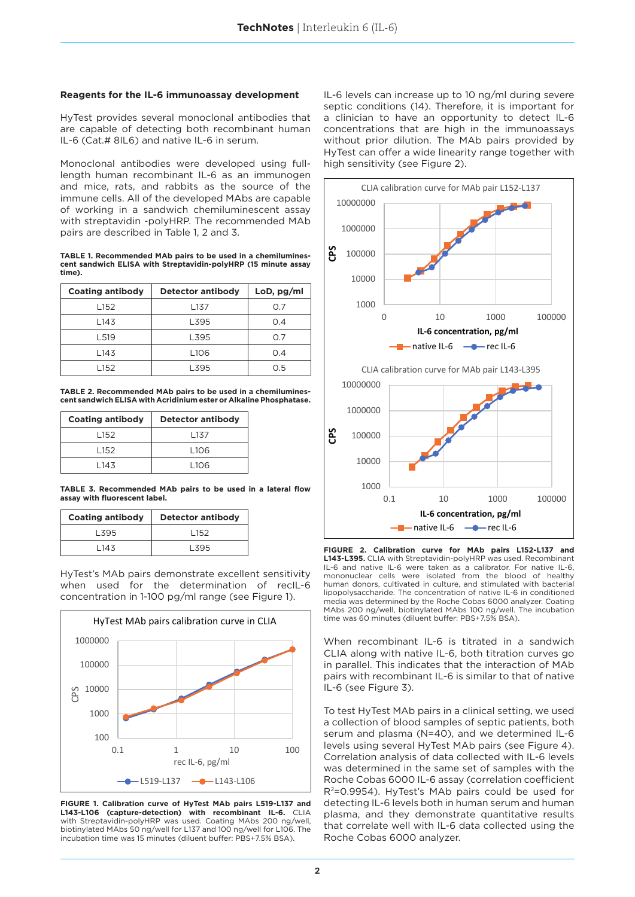### **Reagents for the IL-6 immunoassay development**

HyTest provides several monoclonal antibodies that are capable of detecting both recombinant human IL-6 (Cat.# 8IL6) and native IL-6 in serum.

Monoclonal antibodies were developed using fulllength human recombinant IL-6 as an immunogen and mice, rats, and rabbits as the source of the immune cells. All of the developed MAbs are capable of working in a sandwich chemiluminescent assay with streptavidin -polyHRP. The recommended MAb pairs are described in Table 1, 2 and 3.

**TABLE 1. Recommended MAb pairs to be used in a chemiluminescent sandwich ELISA with Streptavidin-polyHRP (15 minute assay time).**

| <b>Coating antibody</b> | <b>Detector antibody</b> |     |  |
|-------------------------|--------------------------|-----|--|
| L <sub>152</sub>        | L <sub>137</sub>         | 0.7 |  |
| L143                    | L395                     | 0.4 |  |
| L <sub>519</sub>        | L395                     | 0.7 |  |
| L143                    | L <sub>106</sub>         | 0.4 |  |
| L152                    | L395                     | 0.5 |  |

**TABLE 2. Recommended MAb pairs to be used in a chemiluminescent sandwich ELISA with Acridinium ester or Alkaline Phosphatase.**

| <b>Coating antibody</b> |       | <b>Detector antibody</b> |  |  |
|-------------------------|-------|--------------------------|--|--|
|                         | l 152 | 137                      |  |  |
|                         | l 152 | l 106                    |  |  |
|                         | l 143 | l 106                    |  |  |

**TABLE 3. Recommended MAb pairs to be used in a lateral flow assay with fluorescent label.**

| <b>Coating antibody</b> | <b>Detector antibody</b> |  |  |
|-------------------------|--------------------------|--|--|
| L395                    | l 152                    |  |  |
| l 143                   | l 395                    |  |  |

HyTest's MAb pairs demonstrate excellent sensitivity when used for the determination of recIL-6 concentration in 1-100 pg/ml range (see Figure 1).



**FIGURE 1. Calibration curve of HyTest MAb pairs L519-L137 and L143-L106 (capture-detection) with recombinant IL-6.** CLIA with Streptavidin-polyHRP was used. Coating MAbs 200 ng/well, biotinylated MAbs 50 ng/well for L137 and 100 ng/well for L106. The incubation time was 15 minutes (diluent buffer: PBS+7.5% BSA).

IL-6 levels can increase up to 10 ng/ml during severe septic conditions (14). Therefore, it is important for a clinician to have an opportunity to detect IL-6 concentrations that are high in the immunoassays without prior dilution. The MAb pairs provided by HyTest can offer a wide linearity range together with high sensitivity (see Figure 2).



**FIGURE 2. Calibration curve for MAb pairs L152-L137 and L143-L395.** CLIA with Streptavidin-polyHRP was used. Recombinant IL-6 and native IL-6 were taken as a calibrator. For native IL-6, mononuclear cells were isolated from the blood of healthy human donors, cultivated in culture, and stimulated with bacterial lipopolysaccharide. The concentration of native IL-6 in conditioned media was determined by the Roche Cobas 6000 analyzer. Coating MAbs 200 ng/well, biotinylated MAbs 100 ng/well. The incubation time was 60 minutes (diluent buffer: PBS+7.5% BSA).

When recombinant IL-6 is titrated in a sandwich CLIA along with native IL-6, both titration curves go in parallel. This indicates that the interaction of MAb pairs with recombinant IL-6 is similar to that of native IL-6 (see Figure 3).

To test HyTest MAb pairs in a clinical setting, we used a collection of blood samples of septic patients, both serum and plasma (N=40), and we determined IL-6 levels using several HyTest MAb pairs (see Figure 4). Correlation analysis of data collected with IL-6 levels was determined in the same set of samples with the Roche Cobas 6000 IL-6 assay (correlation coefficient R2=0.9954). HyTest's MAb pairs could be used for detecting IL-6 levels both in human serum and human plasma, and they demonstrate quantitative results that correlate well with IL-6 data collected using the Roche Cobas 6000 analyzer.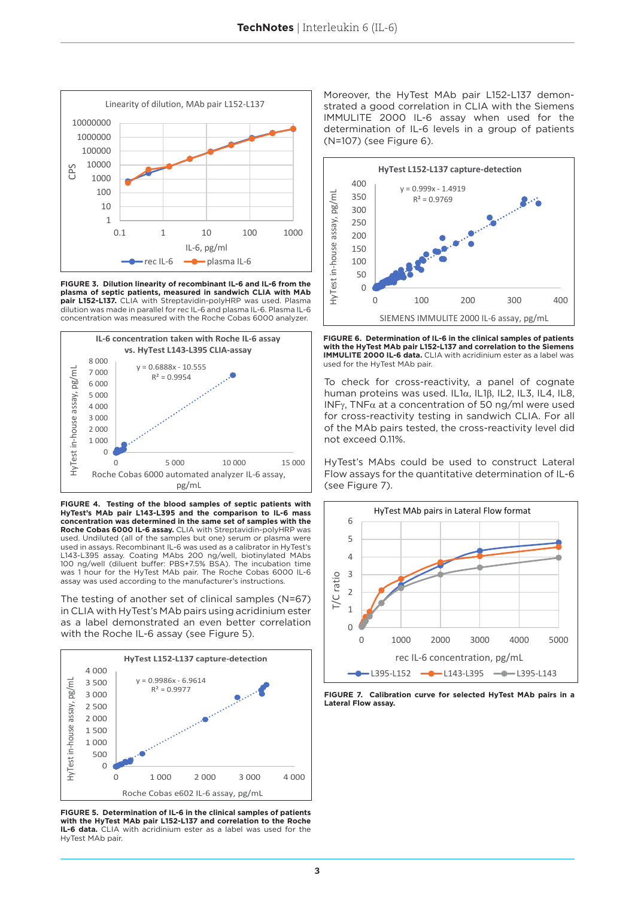

**FIGURE 3. Dilution linearity of recombinant IL-6 and IL-6 from the plasma of septic patients, measured in sandwich CLIA with MAb pair L152-L137.** CLIA with Streptavidin-polyHRP was used. Plasma dilution was made in parallel for rec IL-6 and plasma IL-6. Plasma IL-6 concentration was measured with the Roche Cobas 6000 analyzer.



**FIGURE 4. Testing of the blood samples of septic patients with HyTest's MAb pair L143-L395 and the comparison to IL-6 mass concentration was determined in the same set of samples with the Roche Cobas 6000 IL-6 assay.** CLIA with Streptavidin-polyHRP was used. Undiluted (all of the samples but one) serum or plasma were used in assays. Recombinant IL-6 was used as a calibrator in HyTest's L143-L395 assay. Coating MAbs 200 ng/well, biotinylated MAbs 100 ng/well (diluent buffer: PBS+7.5% BSA). The incubation time was 1 hour for the HyTest MAb pair. The Roche Cobas 6000 IL-6 assay was used according to the manufacturer's instructions.

The testing of another set of clinical samples (N=67) in CLIA with HyTest's MAb pairs using acridinium ester as a label demonstrated an even better correlation with the Roche IL-6 assay (see Figure 5).



**FIGURE 5. Determination of IL-6 in the clinical samples of patients with the HyTest MAb pair L152-L137 and correlation to the Roche IL-6 data.** CLIA with acridinium ester as a label was used for the HyTest MAb pair.

Moreover, the HyTest MAb pair L152-L137 demonstrated a good correlation in CLIA with the Siemens IMMULITE 2000 IL-6 assay when used for the determination of IL-6 levels in a group of patients (N=107) (see Figure 6).



**FIGURE 6. Determination of IL-6 in the clinical samples of patients with the HyTest MAb pair L152-L137 and correlation to the Siemens IMMULITE 2000 IL-6 data.** CLIA with acridinium ester as a label was used for the HyTest MAb pair.

To check for cross-reactivity, a panel of cognate human proteins was used. IL1α, IL1β, IL2, IL3, IL4, IL8, INF $\gamma$ , TNF $\alpha$  at a concentration of 50 ng/ml were used for cross-reactivity testing in sandwich CLIA. For all of the MAb pairs tested, the cross-reactivity level did not exceed 0.11%.

HyTest's MAbs could be used to construct Lateral Flow assays for the quantitative determination of IL-6 (see Figure 7).



**FIGURE 7. Calibration curve for selected HyTest MAb pairs in a Lateral Flow assay.**